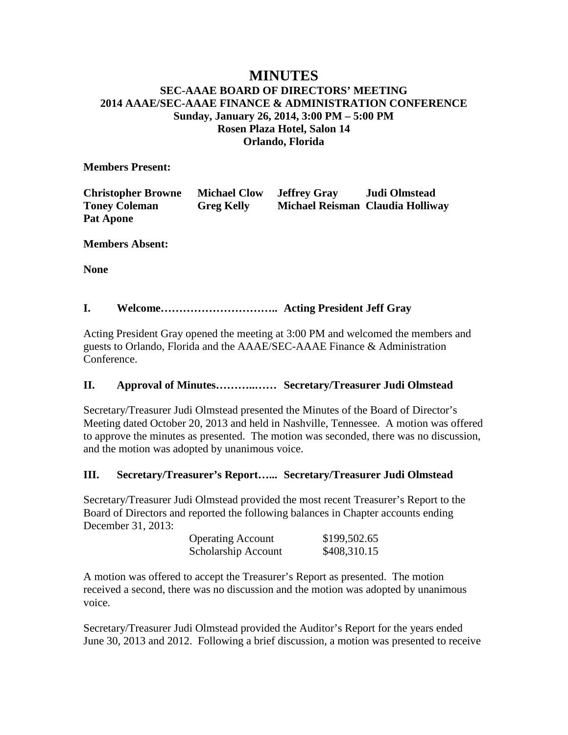## **MINUTES SEC-AAAE BOARD OF DIRECTORS' MEETING 2014 AAAE/SEC-AAAE FINANCE & ADMINISTRATION CONFERENCE Sunday, January 26, 2014, 3:00 PM – 5:00 PM Rosen Plaza Hotel, Salon 14 Orlando, Florida**

**Members Present:**

| <b>Christopher Browne</b> | <b>Michael Clow</b> | <b>Jeffrey Gray</b> | Judi Olmstead                    |
|---------------------------|---------------------|---------------------|----------------------------------|
| <b>Toney Coleman</b>      | <b>Greg Kelly</b>   |                     | Michael Reisman Claudia Holliway |
| <b>Pat Apone</b>          |                     |                     |                                  |

**Members Absent:**

**None**

## **I. Welcome………………………….. Acting President Jeff Gray**

Acting President Gray opened the meeting at 3:00 PM and welcomed the members and guests to Orlando, Florida and the AAAE/SEC-AAAE Finance & Administration Conference.

#### **II. Approval of Minutes………..…… Secretary/Treasurer Judi Olmstead**

Secretary/Treasurer Judi Olmstead presented the Minutes of the Board of Director's Meeting dated October 20, 2013 and held in Nashville, Tennessee. A motion was offered to approve the minutes as presented. The motion was seconded, there was no discussion, and the motion was adopted by unanimous voice.

#### **III. Secretary/Treasurer's Report…... Secretary/Treasurer Judi Olmstead**

Secretary/Treasurer Judi Olmstead provided the most recent Treasurer's Report to the Board of Directors and reported the following balances in Chapter accounts ending December 31, 2013:

| <b>Operating Account</b> | \$199,502.65 |
|--------------------------|--------------|
| Scholarship Account      | \$408,310.15 |

A motion was offered to accept the Treasurer's Report as presented. The motion received a second, there was no discussion and the motion was adopted by unanimous voice.

Secretary/Treasurer Judi Olmstead provided the Auditor's Report for the years ended June 30, 2013 and 2012. Following a brief discussion, a motion was presented to receive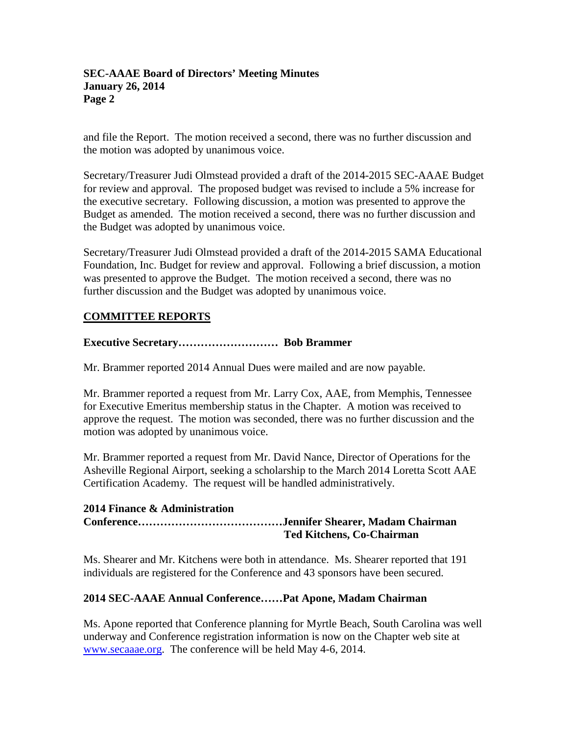and file the Report. The motion received a second, there was no further discussion and the motion was adopted by unanimous voice.

Secretary/Treasurer Judi Olmstead provided a draft of the 2014-2015 SEC-AAAE Budget for review and approval. The proposed budget was revised to include a 5% increase for the executive secretary. Following discussion, a motion was presented to approve the Budget as amended. The motion received a second, there was no further discussion and the Budget was adopted by unanimous voice.

Secretary/Treasurer Judi Olmstead provided a draft of the 2014-2015 SAMA Educational Foundation, Inc. Budget for review and approval. Following a brief discussion, a motion was presented to approve the Budget. The motion received a second, there was no further discussion and the Budget was adopted by unanimous voice.

## **COMMITTEE REPORTS**

## **Executive Secretary……………………… Bob Brammer**

Mr. Brammer reported 2014 Annual Dues were mailed and are now payable.

Mr. Brammer reported a request from Mr. Larry Cox, AAE, from Memphis, Tennessee for Executive Emeritus membership status in the Chapter. A motion was received to approve the request. The motion was seconded, there was no further discussion and the motion was adopted by unanimous voice.

Mr. Brammer reported a request from Mr. David Nance, Director of Operations for the Asheville Regional Airport, seeking a scholarship to the March 2014 Loretta Scott AAE Certification Academy. The request will be handled administratively.

#### **2014 Finance & Administration**

**Conference…………………………………Jennifer Shearer, Madam Chairman Ted Kitchens, Co-Chairman**

Ms. Shearer and Mr. Kitchens were both in attendance. Ms. Shearer reported that 191 individuals are registered for the Conference and 43 sponsors have been secured.

#### **2014 SEC-AAAE Annual Conference……Pat Apone, Madam Chairman**

Ms. Apone reported that Conference planning for Myrtle Beach, South Carolina was well underway and Conference registration information is now on the Chapter web site at [www.secaaae.org.](http://www.secaaae.org/) The conference will be held May 4-6, 2014.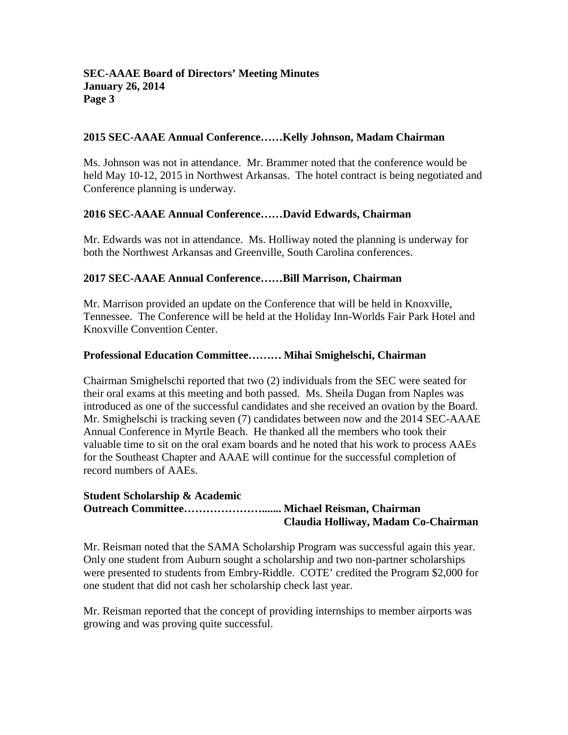## **2015 SEC-AAAE Annual Conference……Kelly Johnson, Madam Chairman**

Ms. Johnson was not in attendance. Mr. Brammer noted that the conference would be held May 10-12, 2015 in Northwest Arkansas. The hotel contract is being negotiated and Conference planning is underway.

## **2016 SEC-AAAE Annual Conference……David Edwards, Chairman**

Mr. Edwards was not in attendance. Ms. Holliway noted the planning is underway for both the Northwest Arkansas and Greenville, South Carolina conferences.

## **2017 SEC-AAAE Annual Conference……Bill Marrison, Chairman**

Mr. Marrison provided an update on the Conference that will be held in Knoxville, Tennessee. The Conference will be held at the Holiday Inn-Worlds Fair Park Hotel and Knoxville Convention Center.

## **Professional Education Committee……… Mihai Smighelschi, Chairman**

Chairman Smighelschi reported that two (2) individuals from the SEC were seated for their oral exams at this meeting and both passed. Ms. Sheila Dugan from Naples was introduced as one of the successful candidates and she received an ovation by the Board. Mr. Smighelschi is tracking seven (7) candidates between now and the 2014 SEC-AAAE Annual Conference in Myrtle Beach. He thanked all the members who took their valuable time to sit on the oral exam boards and he noted that his work to process AAEs for the Southeast Chapter and AAAE will continue for the successful completion of record numbers of AAEs.

#### **Student Scholarship & Academic Outreach Committee…………………....... Michael Reisman, Chairman Claudia Holliway, Madam Co-Chairman**

Mr. Reisman noted that the SAMA Scholarship Program was successful again this year. Only one student from Auburn sought a scholarship and two non-partner scholarships were presented to students from Embry-Riddle. COTE' credited the Program \$2,000 for one student that did not cash her scholarship check last year.

Mr. Reisman reported that the concept of providing internships to member airports was growing and was proving quite successful.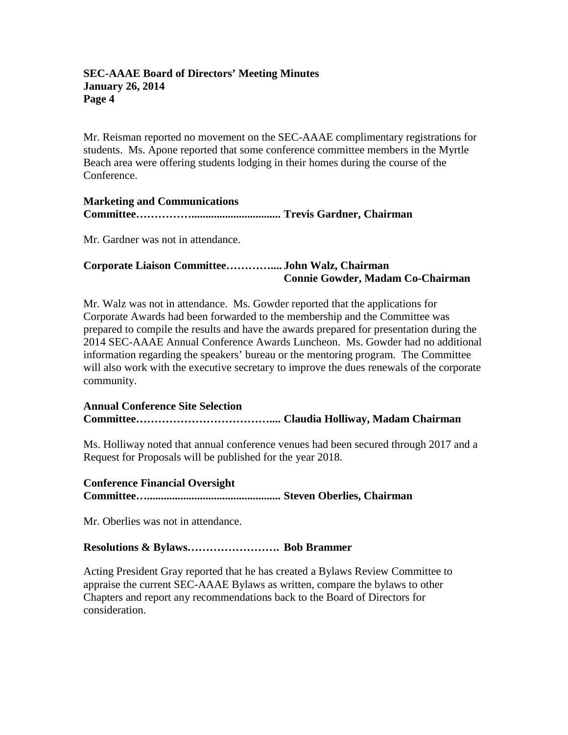Mr. Reisman reported no movement on the SEC-AAAE complimentary registrations for students. Ms. Apone reported that some conference committee members in the Myrtle Beach area were offering students lodging in their homes during the course of the Conference.

### **Marketing and Communications Committee……………................................ Trevis Gardner, Chairman**

Mr. Gardner was not in attendance.

## **Corporate Liaison Committee………….... John Walz, Chairman Connie Gowder, Madam Co-Chairman**

Mr. Walz was not in attendance. Ms. Gowder reported that the applications for Corporate Awards had been forwarded to the membership and the Committee was prepared to compile the results and have the awards prepared for presentation during the 2014 SEC-AAAE Annual Conference Awards Luncheon. Ms. Gowder had no additional information regarding the speakers' bureau or the mentoring program. The Committee will also work with the executive secretary to improve the dues renewals of the corporate community.

## **Annual Conference Site Selection Committee……………………………….... Claudia Holliway, Madam Chairman**

Ms. Holliway noted that annual conference venues had been secured through 2017 and a Request for Proposals will be published for the year 2018.

## **Conference Financial Oversight Committee…................................................ Steven Oberlies, Chairman**

Mr. Oberlies was not in attendance.

## **Resolutions & Bylaws……………………. Bob Brammer**

Acting President Gray reported that he has created a Bylaws Review Committee to appraise the current SEC-AAAE Bylaws as written, compare the bylaws to other Chapters and report any recommendations back to the Board of Directors for consideration.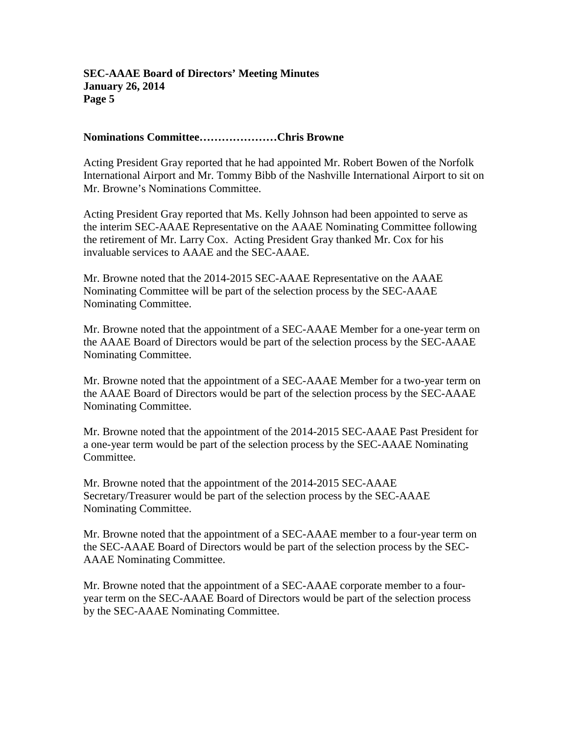### **Nominations Committee…………………Chris Browne**

Acting President Gray reported that he had appointed Mr. Robert Bowen of the Norfolk International Airport and Mr. Tommy Bibb of the Nashville International Airport to sit on Mr. Browne's Nominations Committee.

Acting President Gray reported that Ms. Kelly Johnson had been appointed to serve as the interim SEC-AAAE Representative on the AAAE Nominating Committee following the retirement of Mr. Larry Cox. Acting President Gray thanked Mr. Cox for his invaluable services to AAAE and the SEC-AAAE.

Mr. Browne noted that the 2014-2015 SEC-AAAE Representative on the AAAE Nominating Committee will be part of the selection process by the SEC-AAAE Nominating Committee.

Mr. Browne noted that the appointment of a SEC-AAAE Member for a one-year term on the AAAE Board of Directors would be part of the selection process by the SEC-AAAE Nominating Committee.

Mr. Browne noted that the appointment of a SEC-AAAE Member for a two-year term on the AAAE Board of Directors would be part of the selection process by the SEC-AAAE Nominating Committee.

Mr. Browne noted that the appointment of the 2014-2015 SEC-AAAE Past President for a one-year term would be part of the selection process by the SEC-AAAE Nominating Committee.

Mr. Browne noted that the appointment of the 2014-2015 SEC-AAAE Secretary/Treasurer would be part of the selection process by the SEC-AAAE Nominating Committee.

Mr. Browne noted that the appointment of a SEC-AAAE member to a four-year term on the SEC-AAAE Board of Directors would be part of the selection process by the SEC-AAAE Nominating Committee.

Mr. Browne noted that the appointment of a SEC-AAAE corporate member to a fouryear term on the SEC-AAAE Board of Directors would be part of the selection process by the SEC-AAAE Nominating Committee.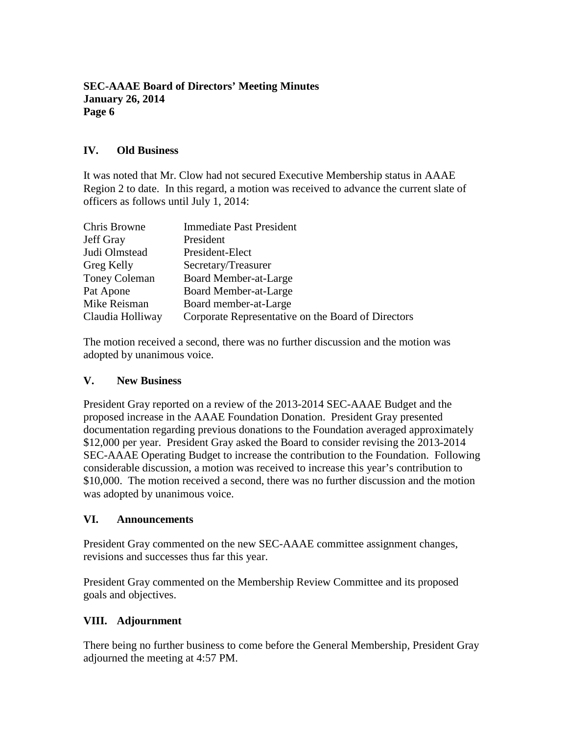## **IV. Old Business**

It was noted that Mr. Clow had not secured Executive Membership status in AAAE Region 2 to date. In this regard, a motion was received to advance the current slate of officers as follows until July 1, 2014:

| Chris Browne         | <b>Immediate Past President</b>                    |
|----------------------|----------------------------------------------------|
| Jeff Gray            | President                                          |
| Judi Olmstead        | President-Elect                                    |
| Greg Kelly           | Secretary/Treasurer                                |
| <b>Toney Coleman</b> | Board Member-at-Large                              |
| Pat Apone            | Board Member-at-Large                              |
| Mike Reisman         | Board member-at-Large                              |
| Claudia Holliway     | Corporate Representative on the Board of Directors |

The motion received a second, there was no further discussion and the motion was adopted by unanimous voice.

#### **V. New Business**

President Gray reported on a review of the 2013-2014 SEC-AAAE Budget and the proposed increase in the AAAE Foundation Donation. President Gray presented documentation regarding previous donations to the Foundation averaged approximately \$12,000 per year. President Gray asked the Board to consider revising the 2013-2014 SEC-AAAE Operating Budget to increase the contribution to the Foundation. Following considerable discussion, a motion was received to increase this year's contribution to \$10,000. The motion received a second, there was no further discussion and the motion was adopted by unanimous voice.

## **VI. Announcements**

President Gray commented on the new SEC-AAAE committee assignment changes, revisions and successes thus far this year.

President Gray commented on the Membership Review Committee and its proposed goals and objectives.

## **VIII. Adjournment**

There being no further business to come before the General Membership, President Gray adjourned the meeting at 4:57 PM.